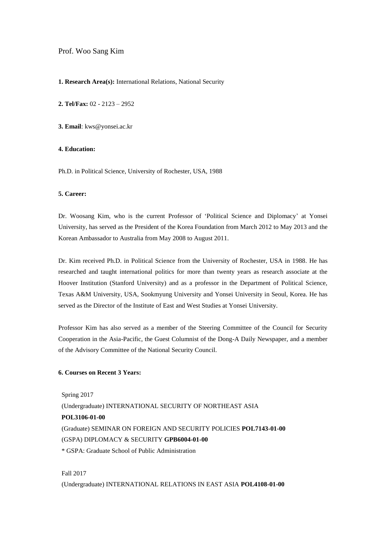## Prof. Woo Sang Kim

#### **1. Research Area(s):** International Relations, National Security

**2. Tel/Fax:** 02 - 2123 – 2952

**3. Email**: kws@yonsei.ac.kr

## **4. Education:**

Ph.D. in Political Science, University of Rochester, USA, 1988

#### **5. Career:**

Dr. Woosang Kim, who is the current Professor of 'Political Science and Diplomacy' at Yonsei University, has served as the President of the Korea Foundation from March 2012 to May 2013 and the Korean Ambassador to Australia from May 2008 to August 2011.

Dr. Kim received Ph.D. in Political Science from the University of Rochester, USA in 1988. He has researched and taught international politics for more than twenty years as research associate at the Hoover Institution (Stanford University) and as a professor in the Department of Political Science, Texas A&M University, USA, Sookmyung University and Yonsei University in Seoul, Korea. He has served as the Director of the Institute of East and West Studies at Yonsei University.

Professor Kim has also served as a member of the Steering Committee of the Council for Security Cooperation in the Asia-Pacific, the Guest Columnist of the Dong-A Daily Newspaper, and a member of the Advisory Committee of the National Security Council.

## **6. Courses on Recent 3 Years:**

Spring 2017 (Undergraduate) INTERNATIONAL SECURITY OF NORTHEAST ASIA **POL3106-01-00** (Graduate) SEMINAR ON FOREIGN AND SECURITY POLICIES **POL7143-01-00** (GSPA) DIPLOMACY & SECURITY **GPB6004-01-00** \* GSPA: Graduate School of Public Administration

Fall 2017 (Undergraduate) INTERNATIONAL RELATIONS IN EAST ASIA **POL4108-01-00**